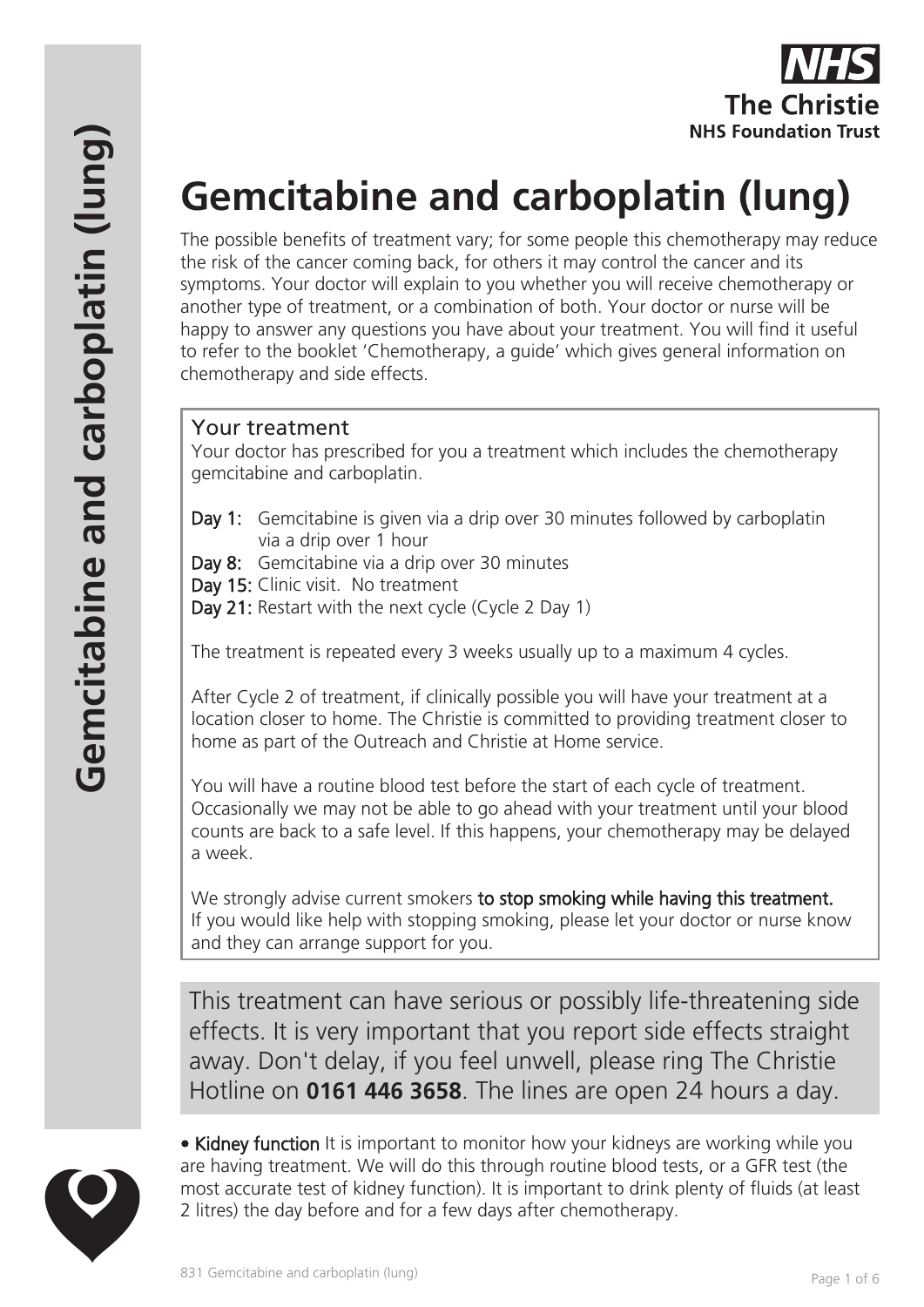

# **Gemcitabine and carboplatin (lung)**

The possible benefits of treatment vary; for some people this chemotherapy may reduce the risk of the cancer coming back, for others it may control the cancer and its symptoms. Your doctor will explain to you whether you will receive chemotherapy or another type of treatment, or a combination of both. Your doctor or nurse will be happy to answer any questions you have about your treatment. You will find it useful to refer to the booklet 'Chemotherapy, a guide' which gives general information on chemotherapy and side effects.

# Your treatment

Your doctor has prescribed for you a treatment which includes the chemotherapy gemcitabine and carboplatin.

- Day 1: Gemcitabine is given via a drip over 30 minutes followed by carboplatin via a drip over 1 hour
- Day 8: Gemcitabine via a drip over 30 minutes
- Day 15: Clinic visit. No treatment
- Day 21: Restart with the next cycle (Cycle 2 Day 1)

The treatment is repeated every 3 weeks usually up to a maximum 4 cycles.

After Cycle 2 of treatment, if clinically possible you will have your treatment at a location closer to home. The Christie is committed to providing treatment closer to home as part of the Outreach and Christie at Home service.

You will have a routine blood test before the start of each cycle of treatment. Occasionally we may not be able to go ahead with your treatment until your blood counts are back to a safe level. If this happens, your chemotherapy may be delayed a week.

We strongly advise current smokers to stop smoking while having this treatment. If you would like help with stopping smoking, please let your doctor or nurse know and they can arrange support for you.

This treatment can have serious or possibly life-threatening side effects. It is very important that you report side effects straight away. Don't delay, if you feel unwell, please ring The Christie Hotline on **0161 446 3658**. The lines are open 24 hours a day.



• Kidney function It is important to monitor how your kidneys are working while you are having treatment. We will do this through routine blood tests, or a GFR test (the most accurate test of kidney function). It is important to drink plenty of fluids (at least 2 litres) the day before and for a few days after chemotherapy.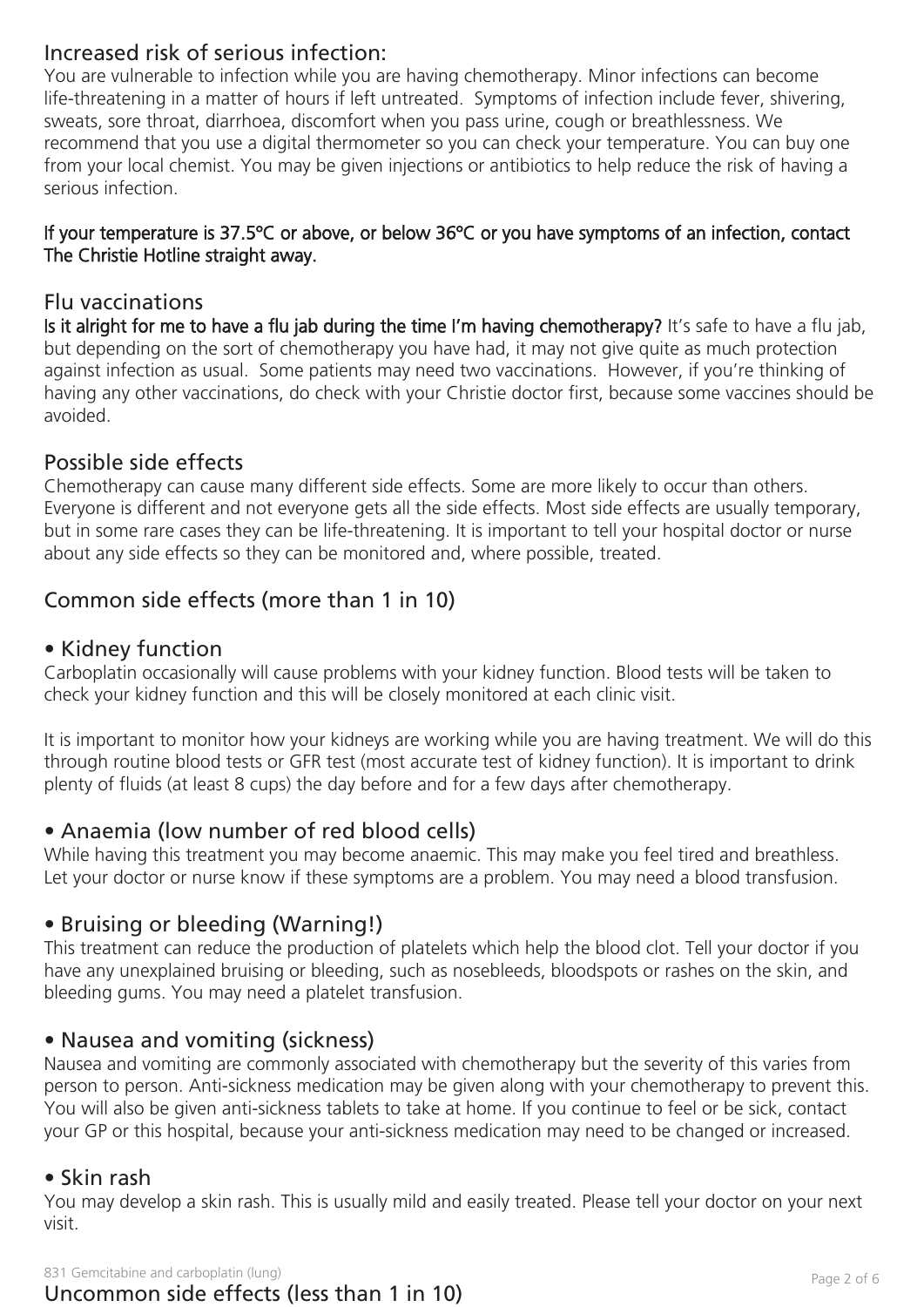# Increased risk of serious infection:

You are vulnerable to infection while you are having chemotherapy. Minor infections can become life-threatening in a matter of hours if left untreated. Symptoms of infection include fever, shivering, sweats, sore throat, diarrhoea, discomfort when you pass urine, cough or breathlessness. We recommend that you use a digital thermometer so you can check your temperature. You can buy one from your local chemist. You may be given injections or antibiotics to help reduce the risk of having a serious infection.

#### If your temperature is 37.5ºC or above, or below 36ºC or you have symptoms of an infection, contact The Christie Hotline straight away.

#### Flu vaccinations

Is it alright for me to have a flu jab during the time I'm having chemotherapy? It's safe to have a flu jab, but depending on the sort of chemotherapy you have had, it may not give quite as much protection against infection as usual. Some patients may need two vaccinations. However, if you're thinking of having any other vaccinations, do check with your Christie doctor first, because some vaccines should be avoided.

## Possible side effects

Chemotherapy can cause many different side effects. Some are more likely to occur than others. Everyone is different and not everyone gets all the side effects. Most side effects are usually temporary, but in some rare cases they can be life-threatening. It is important to tell your hospital doctor or nurse about any side effects so they can be monitored and, where possible, treated.

# Common side effects (more than 1 in 10)

#### • Kidney function

Carboplatin occasionally will cause problems with your kidney function. Blood tests will be taken to check your kidney function and this will be closely monitored at each clinic visit.

It is important to monitor how your kidneys are working while you are having treatment. We will do this through routine blood tests or GFR test (most accurate test of kidney function). It is important to drink plenty of fluids (at least 8 cups) the day before and for a few days after chemotherapy.

## • Anaemia (low number of red blood cells)

While having this treatment you may become anaemic. This may make you feel tired and breathless. Let your doctor or nurse know if these symptoms are a problem. You may need a blood transfusion.

## • Bruising or bleeding (Warning!)

This treatment can reduce the production of platelets which help the blood clot. Tell your doctor if you have any unexplained bruising or bleeding, such as nosebleeds, bloodspots or rashes on the skin, and bleeding gums. You may need a platelet transfusion.

## • Nausea and vomiting (sickness)

Nausea and vomiting are commonly associated with chemotherapy but the severity of this varies from person to person. Anti-sickness medication may be given along with your chemotherapy to prevent this. You will also be given anti-sickness tablets to take at home. If you continue to feel or be sick, contact your GP or this hospital, because your anti-sickness medication may need to be changed or increased.

#### • Skin rash

You may develop a skin rash. This is usually mild and easily treated. Please tell your doctor on your next visit.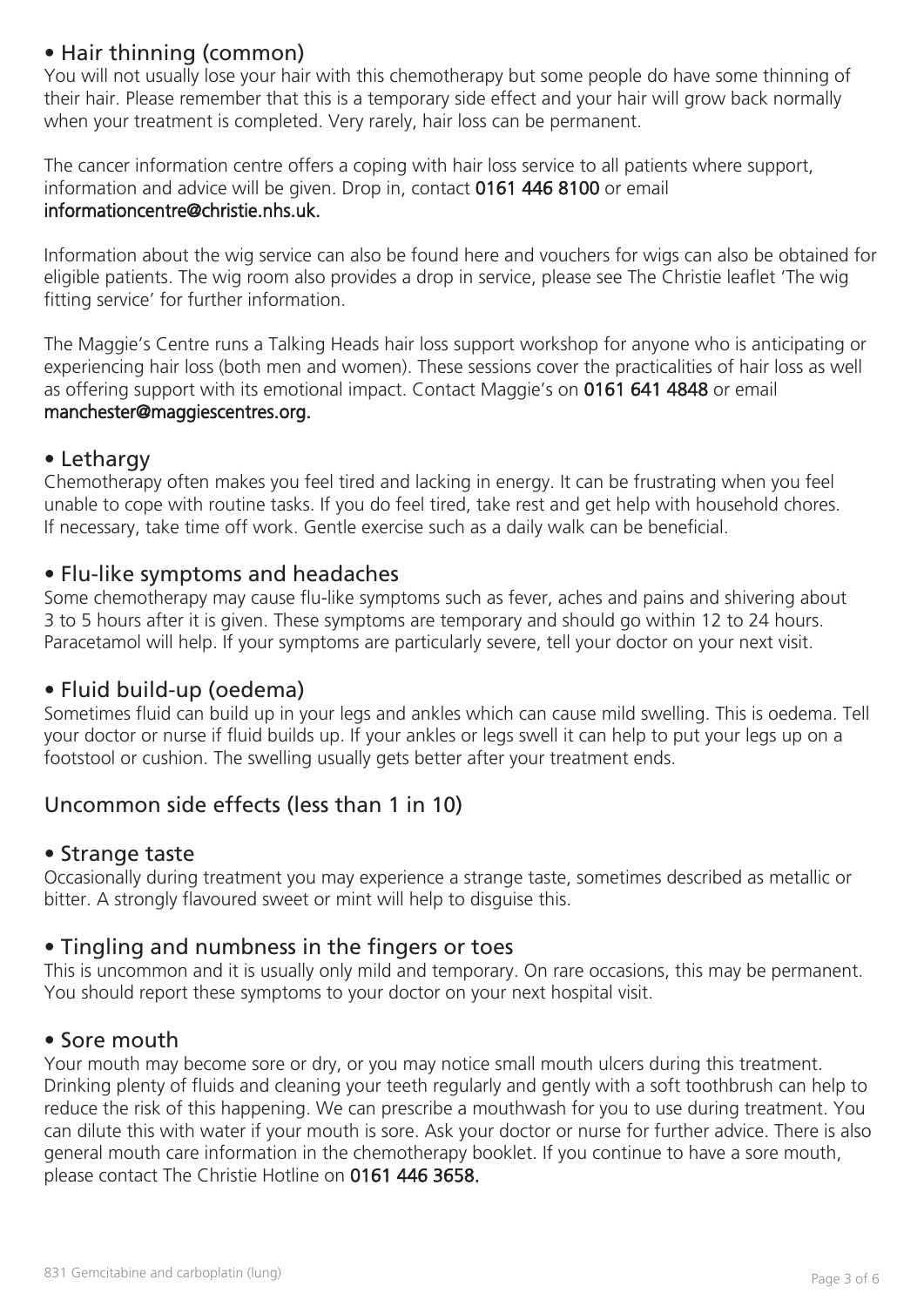# • Hair thinning (common)

You will not usually lose your hair with this chemotherapy but some people do have some thinning of their hair. Please remember that this is a temporary side effect and your hair will grow back normally when your treatment is completed. Very rarely, hair loss can be permanent.

The cancer information centre offers a coping with hair loss service to all patients where support, information and advice will be given. Drop in, contact 0161 446 8100 or email informationcentre@christie.nhs.uk.

Information about the wig service can also be found here and vouchers for wigs can also be obtained for eligible patients. The wig room also provides a drop in service, please see The Christie leaflet 'The wig fitting service' for further information.

The Maggie's Centre runs a Talking Heads hair loss support workshop for anyone who is anticipating or experiencing hair loss (both men and women). These sessions cover the practicalities of hair loss as well as offering support with its emotional impact. Contact Maggie's on 0161 641 4848 or email manchester@maggiescentres.org.

#### • Lethargy

Chemotherapy often makes you feel tired and lacking in energy. It can be frustrating when you feel unable to cope with routine tasks. If you do feel tired, take rest and get help with household chores. If necessary, take time off work. Gentle exercise such as a daily walk can be beneficial.

## • Flu-like symptoms and headaches

Some chemotherapy may cause flu-like symptoms such as fever, aches and pains and shivering about 3 to 5 hours after it is given. These symptoms are temporary and should go within 12 to 24 hours. Paracetamol will help. If your symptoms are particularly severe, tell your doctor on your next visit.

## • Fluid build-up (oedema)

Sometimes fluid can build up in your legs and ankles which can cause mild swelling. This is oedema. Tell your doctor or nurse if fluid builds up. If your ankles or legs swell it can help to put your legs up on a footstool or cushion. The swelling usually gets better after your treatment ends.

# Uncommon side effects (less than 1 in 10)

#### • Strange taste

Occasionally during treatment you may experience a strange taste, sometimes described as metallic or bitter. A strongly flavoured sweet or mint will help to disguise this.

## • Tingling and numbness in the fingers or toes

This is uncommon and it is usually only mild and temporary. On rare occasions, this may be permanent. You should report these symptoms to your doctor on your next hospital visit.

## • Sore mouth

Your mouth may become sore or dry, or you may notice small mouth ulcers during this treatment. Drinking plenty of fluids and cleaning your teeth regularly and gently with a soft toothbrush can help to reduce the risk of this happening. We can prescribe a mouthwash for you to use during treatment. You can dilute this with water if your mouth is sore. Ask your doctor or nurse for further advice. There is also general mouth care information in the chemotherapy booklet. If you continue to have a sore mouth, please contact The Christie Hotline on 0161 446 3658.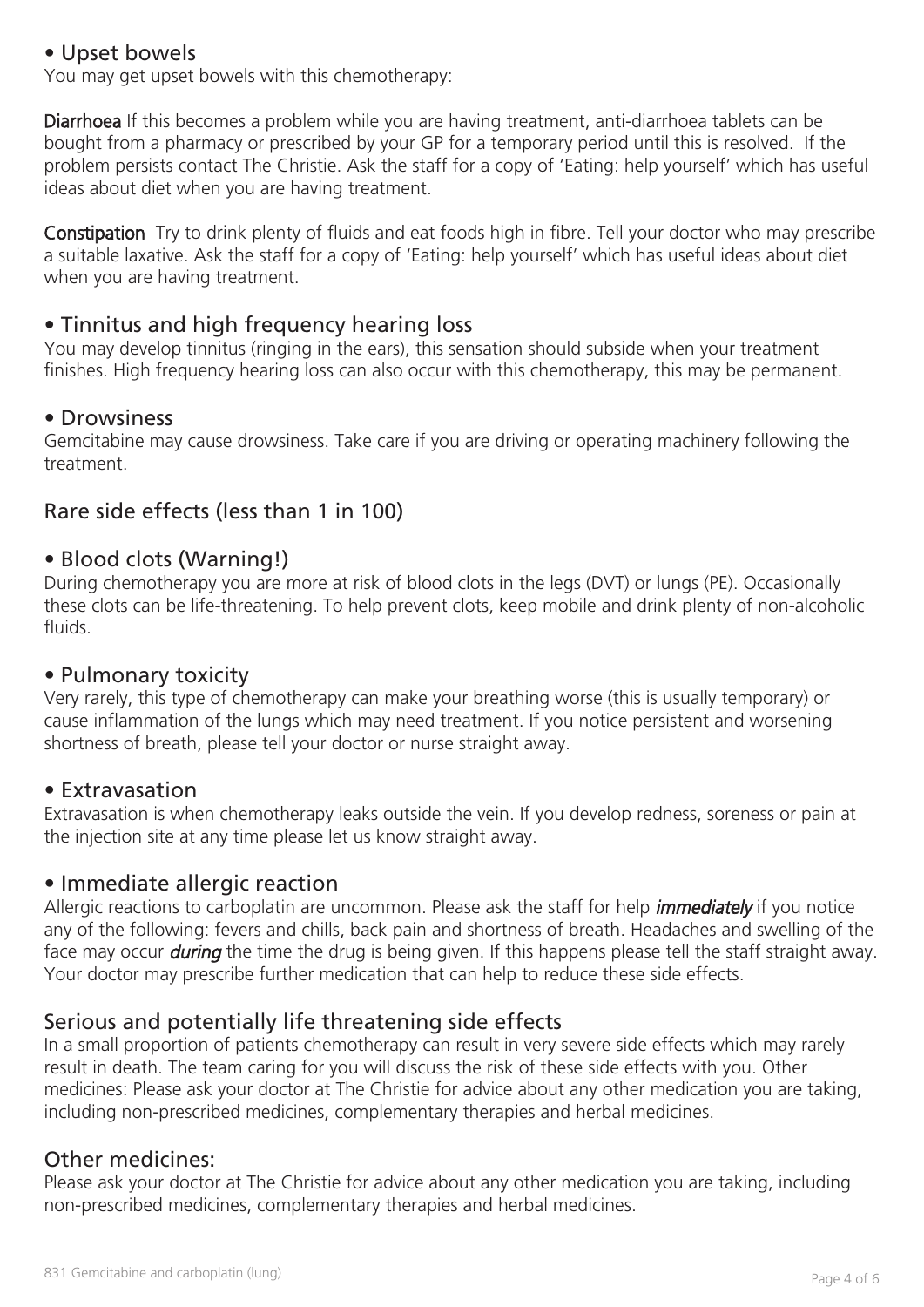## • Upset bowels

You may get upset bowels with this chemotherapy:

Diarrhoea If this becomes a problem while you are having treatment, anti-diarrhoea tablets can be bought from a pharmacy or prescribed by your GP for a temporary period until this is resolved. If the problem persists contact The Christie. Ask the staff for a copy of 'Eating: help yourself' which has useful ideas about diet when you are having treatment.

Constipation Try to drink plenty of fluids and eat foods high in fibre. Tell your doctor who may prescribe a suitable laxative. Ask the staff for a copy of 'Eating: help yourself' which has useful ideas about diet when you are having treatment.

## • Tinnitus and high frequency hearing loss

You may develop tinnitus (ringing in the ears), this sensation should subside when your treatment finishes. High frequency hearing loss can also occur with this chemotherapy, this may be permanent.

#### • Drowsiness

Gemcitabine may cause drowsiness. Take care if you are driving or operating machinery following the treatment.

# Rare side effects (less than 1 in 100)

## • Blood clots (Warning!)

During chemotherapy you are more at risk of blood clots in the legs (DVT) or lungs (PE). Occasionally these clots can be life-threatening. To help prevent clots, keep mobile and drink plenty of non-alcoholic fluids.

#### • Pulmonary toxicity

Very rarely, this type of chemotherapy can make your breathing worse (this is usually temporary) or cause inflammation of the lungs which may need treatment. If you notice persistent and worsening shortness of breath, please tell your doctor or nurse straight away.

#### • Extravasation

Extravasation is when chemotherapy leaks outside the vein. If you develop redness, soreness or pain at the injection site at any time please let us know straight away.

## • Immediate allergic reaction

Allergic reactions to carboplatin are uncommon. Please ask the staff for help *immediately* if you notice any of the following: fevers and chills, back pain and shortness of breath. Headaches and swelling of the face may occur **during** the time the drug is being given. If this happens please tell the staff straight away. Your doctor may prescribe further medication that can help to reduce these side effects.

## Serious and potentially life threatening side effects

In a small proportion of patients chemotherapy can result in very severe side effects which may rarely result in death. The team caring for you will discuss the risk of these side effects with you. Other medicines: Please ask your doctor at The Christie for advice about any other medication you are taking, including non-prescribed medicines, complementary therapies and herbal medicines.

## Other medicines:

Please ask your doctor at The Christie for advice about any other medication you are taking, including non-prescribed medicines, complementary therapies and herbal medicines.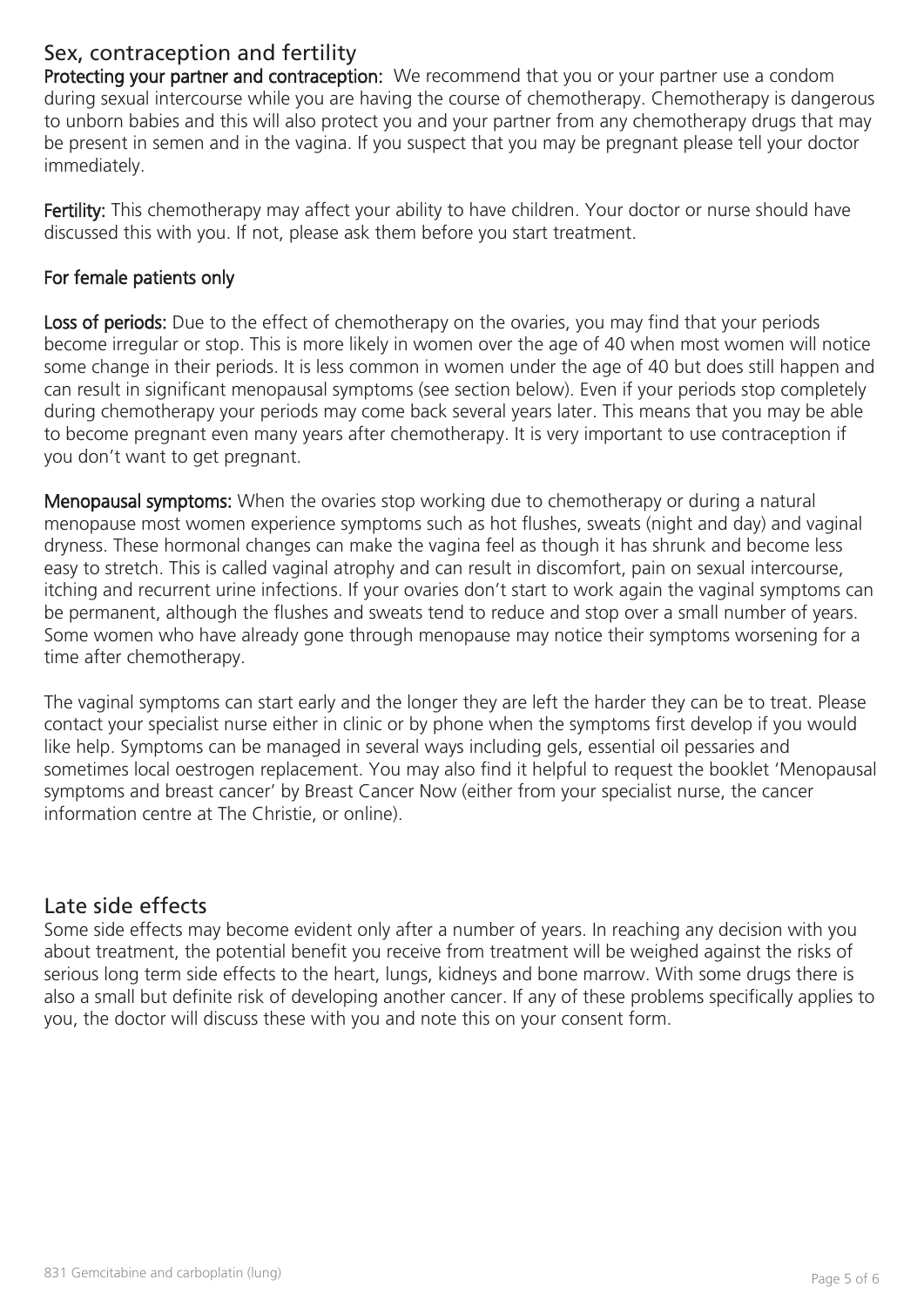# Sex, contraception and fertility

Protecting your partner and contraception: We recommend that you or your partner use a condom during sexual intercourse while you are having the course of chemotherapy. Chemotherapy is dangerous to unborn babies and this will also protect you and your partner from any chemotherapy drugs that may be present in semen and in the vagina. If you suspect that you may be pregnant please tell your doctor immediately.

Fertility: This chemotherapy may affect your ability to have children. Your doctor or nurse should have discussed this with you. If not, please ask them before you start treatment.

#### For female patients only

Loss of periods: Due to the effect of chemotherapy on the ovaries, you may find that your periods become irregular or stop. This is more likely in women over the age of 40 when most women will notice some change in their periods. It is less common in women under the age of 40 but does still happen and can result in significant menopausal symptoms (see section below). Even if your periods stop completely during chemotherapy your periods may come back several years later. This means that you may be able to become pregnant even many years after chemotherapy. It is very important to use contraception if you don't want to get pregnant.

Menopausal symptoms: When the ovaries stop working due to chemotherapy or during a natural menopause most women experience symptoms such as hot flushes, sweats (night and day) and vaginal dryness. These hormonal changes can make the vagina feel as though it has shrunk and become less easy to stretch. This is called vaginal atrophy and can result in discomfort, pain on sexual intercourse, itching and recurrent urine infections. If your ovaries don't start to work again the vaginal symptoms can be permanent, although the flushes and sweats tend to reduce and stop over a small number of years. Some women who have already gone through menopause may notice their symptoms worsening for a time after chemotherapy.

The vaginal symptoms can start early and the longer they are left the harder they can be to treat. Please contact your specialist nurse either in clinic or by phone when the symptoms first develop if you would like help. Symptoms can be managed in several ways including gels, essential oil pessaries and sometimes local oestrogen replacement. You may also find it helpful to request the booklet 'Menopausal symptoms and breast cancer' by Breast Cancer Now (either from your specialist nurse, the cancer information centre at The Christie, or online).

## Late side effects

Some side effects may become evident only after a number of years. In reaching any decision with you about treatment, the potential benefit you receive from treatment will be weighed against the risks of serious long term side effects to the heart, lungs, kidneys and bone marrow. With some drugs there is also a small but definite risk of developing another cancer. If any of these problems specifically applies to you, the doctor will discuss these with you and note this on your consent form.